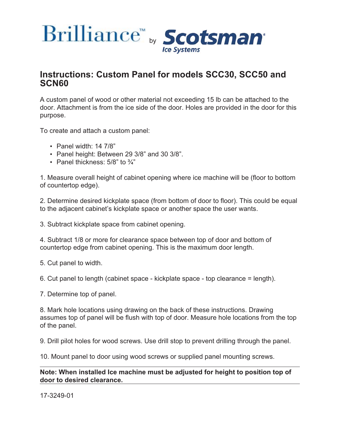



## **Instructions: Custom Panel for models SCC30, SCC50 and SCN60**

A custom panel of wood or other material not exceeding 15 lb can be attached to the door. Attachment is from the ice side of the door. Holes are provided in the door for this purpose.

To create and attach a custom panel:

- Panel width:  $14\ 7/8$ "
- Panel height: Between 29 3/8" and 30 3/8".
- Panel thickness:  $5/8$ " to  $\frac{3}{4}$ "

1. Measure overall height of cabinet opening where ice machine will be (floor to bottom of countertop edge).

2. Determine desired kickplate space (from bottom of door to floor). This could be equal to the adjacent cabinet's kickplate space or another space the user wants.

3. Subtract kickplate space from cabinet opening.

4. Subtract 1/8 or more for clearance space between top of door and bottom of countertop edge from cabinet opening. This is the maximum door length.

5. Cut panel to width.

6. Cut panel to length (cabinet space - kickplate space - top clearance = length).

7. Determine top of panel.

8. Mark hole locations using drawing on the back of these instructions. Drawing assumes top of panel will be flush with top of door. Measure hole locations from the top of the panel.

9. Drill pilot holes for wood screws. Use drill stop to prevent drilling through the panel.

10. Mount panel to door using wood screws or supplied panel mounting screws.

## **Note: When installed Ice machine must be adjusted for height to position top of door to desired clearance.**

17-3249-01